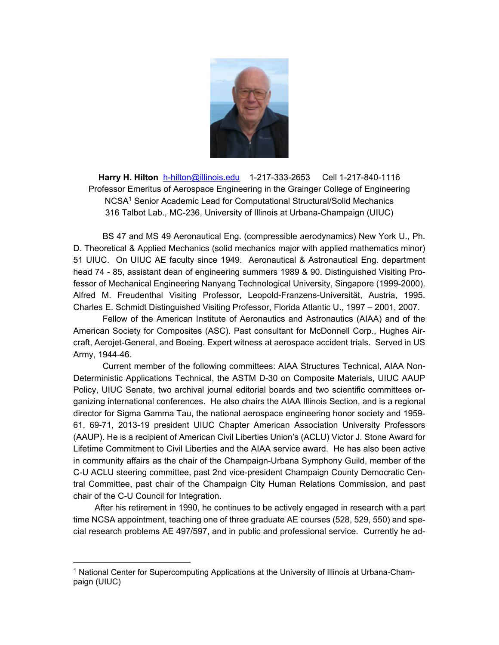

**Harry H. Hilton** h-hilton@illinois.edu 1-217-333-2653 Cell 1-217-840-1116 Professor Emeritus of Aerospace Engineering in the Grainger College of Engineering NCSA1 Senior Academic Lead for Computational Structural/Solid Mechanics 316 Talbot Lab., MC-236, University of Illinois at Urbana-Champaign (UIUC)

 BS 47 and MS 49 Aeronautical Eng. (compressible aerodynamics) New York U., Ph. D. Theoretical & Applied Mechanics (solid mechanics major with applied mathematics minor) 51 UIUC. On UIUC AE faculty since 1949. Aeronautical & Astronautical Eng. department head 74 - 85, assistant dean of engineering summers 1989 & 90. Distinguished Visiting Professor of Mechanical Engineering Nanyang Technological University, Singapore (1999-2000). Alfred M. Freudenthal Visiting Professor, Leopold-Franzens-Universität, Austria, 1995. Charles E. Schmidt Distinguished Visiting Professor, Florida Atlantic U., 1997 – 2001, 2007.

 Fellow of the American Institute of Aeronautics and Astronautics (AIAA) and of the American Society for Composites (ASC). Past consultant for McDonnell Corp., Hughes Aircraft, Aerojet-General, and Boeing. Expert witness at aerospace accident trials. Served in US Army, 1944-46.

Current member of the following committees: AIAA Structures Technical, AIAA Non-Deterministic Applications Technical, the ASTM D-30 on Composite Materials, UIUC AAUP Policy, UIUC Senate, two archival journal editorial boards and two scientific committees organizing international conferences. He also chairs the AIAA Illinois Section, and is a regional director for Sigma Gamma Tau, the national aerospace engineering honor society and 1959- 61, 69-71, 2013-19 president UIUC Chapter American Association University Professors (AAUP). He is a recipient of American Civil Liberties Union's (ACLU) Victor J. Stone Award for Lifetime Commitment to Civil Liberties and the AIAA service award. He has also been active in community affairs as the chair of the Champaign-Urbana Symphony Guild, member of the C-U ACLU steering committee, past 2nd vice-president Champaign County Democratic Central Committee, past chair of the Champaign City Human Relations Commission, and past chair of the C-U Council for Integration.

 After his retirement in 1990, he continues to be actively engaged in research with a part time NCSA appointment, teaching one of three graduate AE courses (528, 529, 550) and special research problems AE 497/597, and in public and professional service. Currently he ad-

<sup>1</sup> National Center for Supercomputing Applications at the University of Illinois at Urbana-Champaign (UIUC)